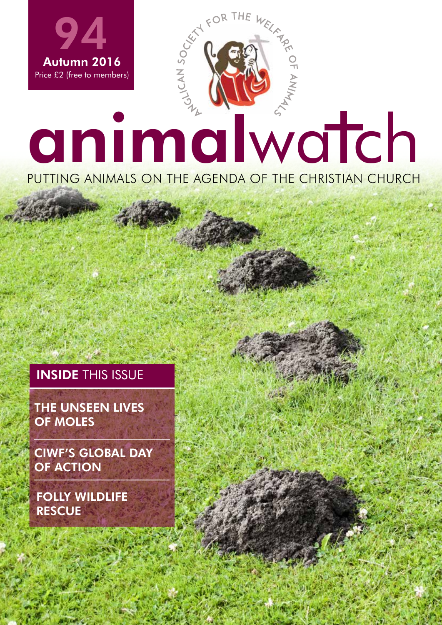

ASWA.ORG.UK | 1

## **INSIDE THIS ISSUE**

THE UNSEEN LIVES OF MOLES

CIWF'S GLOBAL DAY OF ACTION

FOLLY WILDLIFE **RESCUE**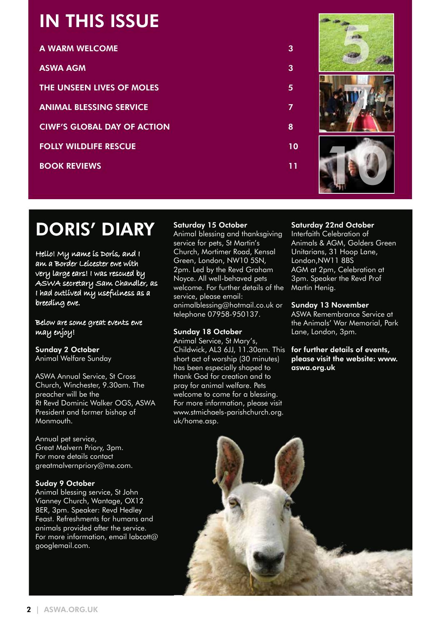# IN THIS ISSUE

| <b>A WARM WELCOME</b>              | З  |
|------------------------------------|----|
| <b>ASWA AGM</b>                    | 3  |
| <b>THE UNSEEN LIVES OF MOLES</b>   | 5  |
| <b>ANIMAL BLESSING SERVICE</b>     | 7  |
| <b>CIWF'S GLOBAL DAY OF ACTION</b> | 8  |
| <b>FOLLY WILDLIFE RESCUE</b>       | 10 |
| <b>BOOK REVIEWS</b>                | 11 |
|                                    |    |



# DORIS' DIARY

Hello! My name is Doris, and I am a Border Leicester ewe with very large ears! I was rescued by ASWA secretary Sam Chandler, as I had outlived my usefulness as a breeding ewe.

Below are some great events ewe may enjoy!

Sunday 2 October Animal Welfare Sunday

ASWA Annual Service, St Cross Church, Winchester, 9.30am. The preacher will be the Rt Revd Dominic Walker OGS, ASWA President and former bishop of Monmouth.

Annual pet service, Great Malvern Priory, 3pm. For more details contact greatmalvernpriory@me.com.

## Suday 9 October

Animal blessing service, St John Vianney Church, Wantage, OX12 8ER, 3pm. Speaker: Revd Hedley Feast. Refreshments for humans and animals provided after the service. For more information, email labcott@ googlemail.com.

## Saturday 15 October

Animal blessing and thanksgiving service for pets, St Martin's Church, Mortimer Road, Kensal Green, London, NW10 5SN, 2pm. Led by the Revd Graham Noyce. All well-behaved pets welcome. For further details of the service, please email: animalblessing@hotmail.co.uk or telephone 07958-950137.

## Sunday 18 October

Animal Service, St Mary's, Childwick, AL3 6JJ, 11.30am. This short act of worship (30 minutes) has been especially shaped to thank God for creation and to pray for animal welfare. Pets welcome to come for a blessing. For more information, please visit www.stmichaels-parishchurch.org. uk/home.asp.

## Saturday 22nd October

Interfaith Celebration of Animals & AGM, Golders Green Unitarians, 31 Hoop Lane, London,NW11 8BS AGM at 2pm, Celebration at 3pm. Speaker the Revd Prof Martin Henig.

## Sunday 13 November

ASWA Remembrance Service at the Animals' War Memorial, Park Lane, London, 3pm.

for further details of events, please visit the website: www. aswa.org.uk

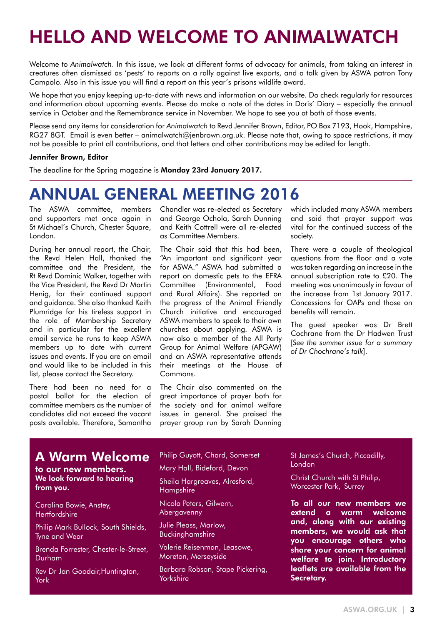# HELLO AND WELCOME TO ANIMALWATCH

Welcome to *Animalwatch*. In this issue, we look at different forms of advocacy for animals, from taking an interest in creatures often dismissed as 'pests' to reports on a rally against live exports, and a talk given by ASWA patron Tony Campolo. Also in this issue you will find a report on this year's prisons wildlife award.

We hope that you enjoy keeping up-to-date with news and information on our website. Do check regularly for resources and information about upcoming events. Please do make a note of the dates in Doris' Diary – especially the annual service in October and the Remembrance service in November. We hope to see you at both of those events.

Please send any items for consideration for *Animalwatch* to Revd Jennifer Brown, Editor, PO Box 7193, Hook, Hampshire, RG27 8GT. Email is even better – animalwatch@jenbrown.org.uk. Please note that, owing to space restrictions, it may not be possible to print all contributions, and that letters and other contributions may be edited for length.

#### Jennifer Brown, Editor

The deadline for the Spring magazine is Monday 23rd January 2017.

# ANNUAL GENERAL MEETING 2016

The ASWA committee, members and supporters met once again in St Michael's Church, Chester Square, London.

During her annual report, the Chair, the Revd Helen Hall, thanked the committee and the President, the Rt Revd Dominic Walker, together with the Vice President, the Revd Dr Martin Henig, for their continued support and guidance. She also thanked Keith Plumridge for his tireless support in the role of Membership Secretary and in particular for the excellent email service he runs to keep ASWA members up to date with current issues and events. If you are on email and would like to be included in this list, please contact the Secretary.

There had been no need for a postal ballot for the election of committee members as the number of candidates did not exceed the vacant posts available. Therefore, Samantha

Chandler was re-elected as Secretary and George Ochola, Sarah Dunning and Keith Cottrell were all re-elected as Committee Members.

The Chair said that this had been, "An important and significant year for ASWA." ASWA had submitted a report on domestic pets to the EFRA Committee (Environmental, Food and Rural Affairs). She reported on the progress of the Animal Friendly Church initiative and encouraged ASWA members to speak to their own churches about applying. ASWA is now also a member of the All Party Group for Animal Welfare (APGAW) and an ASWA representative attends their meetings at the House of Commons.

The Chair also commented on the great importance of prayer both for the society and for animal welfare issues in general. She praised the prayer group run by Sarah Dunning which included many ASWA members and said that prayer support was vital for the continued success of the society.

There were a couple of theological questions from the floor and a vote was taken regarding an increase in the annual subscription rate to £20. The meeting was unanimously in favour of the increase from 1st January 2017. Concessions for OAPs and those on benefits will remain.

The guest speaker was Dr Brett Cochrane from the Dr Hadwen Trust [*See the summer issue for a summary of Dr Chochrane's talk*].

## A Warm Welcome

to our new members. We look forward to hearing from you.

Carolina Bowie, Anstey, **Hertfordshire** 

Philip Mark Bullock, South Shields, Tyne and Wear

Brenda Forrester, Chester-le-Street, Durham

Rev Dr Jan Goodair,Huntington, York

#### Philip Guyott, Chard, Somerset

Mary Hall, Bideford, Devon

Sheila Hargreaves, Alresford, Hampshire

Nicola Peters, Gilwern, Abergavenny

Julie Pleass, Marlow, Buckinghamshire

Valerie Reisenman, Leasowe, Moreton, Merseyside

Barbara Robson, Stape Pickering, **Yorkshire** 

St James's Church, Piccadilly, London

Christ Church with St Philip, Worcester Park, Surrey

To all our new members we extend a warm welcome and, along with our existing members, we would ask that you encourage others who share your concern for animal welfare to join. Introductory leaflets are available from the Secretary.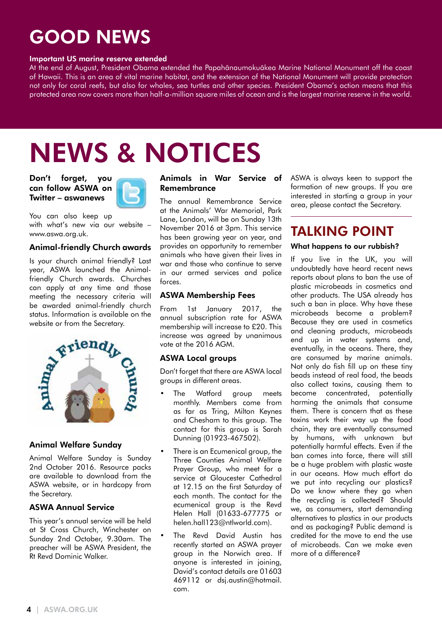# GOOD NEWS

#### Important US marine reserve extended

At the end of August, President Obama extended the Papahãnaumokuãkea Marine National Monument off the coast of Hawaii. This is an area of vital marine habitat, and the extension of the National Monument will provide protection not only for coral reefs, but also for whales, sea turtles and other species. President Obama's action means that this protected area now covers more than half-a-million square miles of ocean and is the largest marine reserve in the world.

# NEWS & NOTICES

Don't forget, you can follow ASWA on Twitter – aswanews



You can also keep up with what's new via our website – www.aswa.org.uk.

## Animal-friendly Church awards

Is your church animal friendly? Last year, ASWA launched the Animalfriendly Church awards. Churches can apply at any time and those meeting the necessary criteria will be awarded animal-friendly church status. Information is available on the website or from the Secretary.



## Animal Welfare Sunday

Animal Welfare Sunday is Sunday 2nd October 2016. Resource packs are available to download from the ASWA website, or in hardcopy from the Secretary.

## ASWA Annual Service

This year's annual service will be held at St Cross Church, Winchester on Sunday 2nd October, 9.30am. The preacher will be ASWA President, the Rt Revd Dominic Walker.

## Animals in War Service of Remembrance

The annual Remembrance Service at the Animals' War Memorial, Park Lane, London, will be on Sunday 13th November 2016 at 3pm. This service has been growing year on year, and provides an opportunity to remember animals who have given their lives in war and those who continue to serve in our armed services and police forces.

## ASWA Membership Fees

From 1st January 2017, the annual subscription rate for ASWA membership will increase to £20. This increase was agreed by unanimous vote at the 2016 AGM.

## ASWA Local groups

Don't forget that there are ASWA local groups in different areas.

- The Watford group meets monthly. Members come from as far as Tring, Milton Keynes and Chesham to this group. The contact for this group is Sarah Dunning (01923-467502).
- There is an Ecumenical aroup, the Three Counties Animal Welfare Prayer Group, who meet for a service at Gloucester Cathedral at 12.15 on the first Saturday of each month. The contact for the ecumenical group is the Revd Helen Hall (01633-677775 or helen.hall123@ntlworld.com).
- The Revd David Austin has recently started an ASWA prayer group in the Norwich area. If anyone is interested in joining, David's contact details are 01603 469112 or dsj.austin@hotmail. com.

ASWA is always keen to support the formation of new groups. If you are interested in starting a group in your area, please contact the Secretary.

# TALKING POINT

### What happens to our rubbish?

If you live in the UK, you will undoubtedly have heard recent news reports about plans to ban the use of plastic microbeads in cosmetics and other products. The USA already has such a ban in place. Why have these microbeads become a problem? Because they are used in cosmetics and cleaning products, microbeads end up in water systems and, eventually, in the oceans. There, they are consumed by marine animals. Not only do fish fill up on these tiny beads instead of real food, the beads also collect toxins, causing them to become concentrated, potentially harming the animals that consume them. There is concern that as these toxins work their way up the food chain, they are eventually consumed by humans, with unknown but potentially harmful effects. Even if the ban comes into force, there will still be a huge problem with plastic waste in our oceans. How much effort do we put into recycling our plastics? Do we know where they go when the recycling is collected? Should we, as consumers, start demanding alternatives to plastics in our products and as packaging? Public demand is credited for the move to end the use of microbeads. Can we make even more of a difference?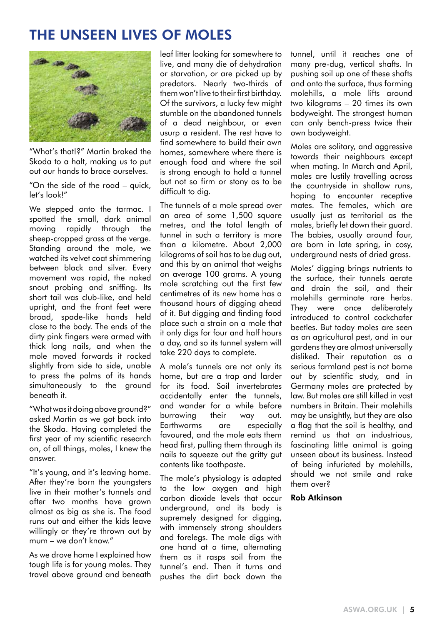# THE UNSEEN LIVES OF MOLES



"What's that!?" Martin braked the Skoda to a halt, making us to put out our hands to brace ourselves.

"On the side of the road – quick, let's look!"

We stepped onto the tarmac. I spotted the small, dark animal moving rapidly through the sheep-cropped grass at the verge. Standing around the mole, we watched its velvet coat shimmering between black and silver. Every movement was rapid, the naked snout probing and sniffing. Its short tail was club-like, and held upright, and the front feet were broad, spade-like hands held close to the body. The ends of the dirty pink fingers were armed with thick long nails, and when the mole moved forwards it rocked slightly from side to side, unable to press the palms of its hands simultaneously to the ground beneath it.

"What was it doing above ground?" asked Martin as we got back into the Skoda. Having completed the first year of my scientific research on, of all things, moles, I knew the answer.

"It's young, and it's leaving home. After they're born the youngsters live in their mother's tunnels and after two months have grown almost as big as she is. The food runs out and either the kids leave willingly or they're thrown out by mum – we don't know."

As we drove home I explained how tough life is for young moles. They travel above ground and beneath

leaf litter looking for somewhere to live, and many die of dehydration or starvation, or are picked up by predators. Nearly two-thirds of them won't live to their first birthday. Of the survivors, a lucky few might stumble on the abandoned tunnels of a dead neighbour, or even usurp a resident. The rest have to find somewhere to build their own homes, somewhere where there is enough food and where the soil is strong enough to hold a tunnel but not so firm or stony as to be difficult to dig.

The tunnels of a mole spread over an area of some 1,500 square metres, and the total length of tunnel in such a territory is more than a kilometre. About 2,000 kilograms of soil has to be dug out, and this by an animal that weighs on average 100 grams. A young mole scratching out the first few centimetres of its new home has a thousand hours of digging ahead of it. But digging and finding food place such a strain on a mole that it only digs for four and half hours a day, and so its tunnel system will take 220 days to complete.

A mole's tunnels are not only its home, but are a trap and larder for its food. Soil invertebrates accidentally enter the tunnels, and wander for a while before burrowing their way out. Earthworms are especially favoured, and the mole eats them head first, pulling them through its nails to squeeze out the gritty gut contents like toothpaste.

The mole's physiology is adapted to the low oxygen and high carbon dioxide levels that occur underground, and its body is supremely designed for digging, with immensely strong shoulders and forelegs. The mole digs with one hand at a time, alternating them as it rasps soil from the tunnel's end. Then it turns and pushes the dirt back down the

tunnel, until it reaches one of many pre-dug, vertical shafts. In pushing soil up one of these shafts and onto the surface, thus forming molehills, a mole lifts around two kilograms – 20 times its own bodyweight. The strongest human can only bench-press twice their own bodyweight.

Moles are solitary, and aggressive towards their neighbours except when mating. In March and April, males are lustily travelling across the countryside in shallow runs, hoping to encounter receptive mates. The females, which are usually just as territorial as the males, briefly let down their guard. The babies, usually around four, are born in late spring, in cosy, underground nests of dried grass.

Moles' digging brings nutrients to the surface, their tunnels aerate and drain the soil, and their molehills germinate rare herbs. They were once deliberately introduced to control cockchafer beetles. But today moles are seen as an agricultural pest, and in our gardens they are almost universally disliked. Their reputation as a serious farmland pest is not borne out by scientific study, and in Germany moles are protected by law. But moles are still killed in vast numbers in Britain. Their molehills may be unsightly, but they are also a flag that the soil is healthy, and remind us that an industrious, fascinating little animal is going unseen about its business. Instead of being infuriated by molehills, should we not smile and rake them over?

## Rob Atkinson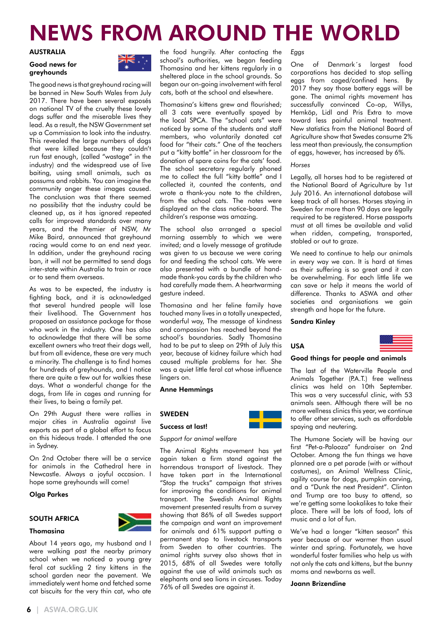# NEWS FROM AROUND THE WORLD

#### AUSTRALIA

#### Good news for greyhounds



The good news is that greyhound racing will be banned in New South Wales from July 2017. There have been several exposés on national TV of the cruelty these lovely dogs suffer and the miserable lives they lead. As a result, the NSW Government set up a Commission to look into the industry. This revealed the large numbers of dogs that were killed because they couldn't run fast enough, (called "wastage" in the industry) and the widespread use of live baiting, using small animals, such as possums and rabbits. You can imagine the community anger these images caused. The conclusion was that there seemed no possibility that the industry could be cleaned up, as it has ignored repeated calls for improved standards over many years, and the Premier of NSW, Mr Mike Baird, announced that greyhound racing would come to an end next year. In addition, under the greyhound racing ban, it will not be permitted to send dogs inter-state within Australia to train or race or to send them overseas.

As was to be expected, the industry is fighting back, and it is acknowledged that several hundred people will lose their livelihood. The Government has proposed an assistance package for those who work in the industry. One has also to acknowledge that there will be some excellent owners who treat their dogs well, but from all evidence, these are very much a minority. The challenge is to find homes for hundreds of greyhounds, and I notice there are quite a few out for walkies these days. What a wonderful change for the dogs, from life in cages and running for their lives, to being a family pet.

On 29th August there were rallies in major cities in Australia against live exports as part of a global effort to focus on this hideous trade. I attended the one in Sydney.

On 2nd October there will be a service for animals in the Cathedral here in Newcastle. Always a joyful occasion. I hope some greyhounds will come!

#### Olga Parkes

## SOUTH AFRICA





About 14 years ago, my husband and I were walking past the nearby primary school when we noticed a young grey feral cat suckling 2 tiny kittens in the school garden near the pavement. We immediately went home and fetched some cat biscuits for the very thin cat, who ate

the food hungrily. After contacting the school's authorities, we began feeding Thomasina and her kittens regularly in a sheltered place in the school grounds. So began our on-going involvement with feral cats, both at the school and elsewhere.

Thomasina's kittens grew and flourished; all 3 cats were eventually spayed by the local SPCA. The "school cats" were noticed by some of the students and staff members, who voluntarily donated cat food for "their cats." One of the teachers put a "kitty bottle" in her classroom for the donation of spare coins for the cats' food. The school secretary regularly phoned me to collect the full "kitty bottle" and I collected it, counted the contents, and wrote a thank-you note to the children, from the school cats. The notes were displayed on the class notice-board. The children's response was amazing.

The school also arranged a special morning assembly to which we were invited; and a lovely message of gratitude was given to us because we were caring for and feeding the school cats. We were also presented with a bundle of handmade thank-you cards by the children who had carefully made them. A heartwarming gesture indeed.

Thomasina and her feline family have touched many lives in a totally unexpected, wonderful way, The message of kindness and compassion has reached beyond the school's boundaries. Sadly Thomasina had to be put to sleep on 29th of July this year, because of kidney failure which had caused multiple problems for her. She was a quiet little feral cat whose influence lingers on.

Anne Hemmings

#### **SWEDEN**

#### Success at last!

#### *Support for animal welfare*

The Animal Rights movement has yet again taken a firm stand against the horrendous transport of livestock. They have taken part in the International "Stop the trucks" campaign that strives for improving the conditions for animal transport. The Swedish Animal Rights movement presented results from a survey showing that 86% of all Swedes support the campaign and want an improvement for animals and 61% support putting a permanent stop to livestock transports from Sweden to other countries. The animal rights survey also shows that in 2015, 68% of all Swedes were totally against the use of wild animals such as elephants and sea lions in circuses. Today 76% of all Swedes are against it.

#### *Eggs*

One of Denmark´s largest food corporations has decided to stop selling eggs from caged/confined hens. By 2017 they say those battery eggs will be gone. The animal rights movement has successfully convinced Co-op, Willys, Hemköp, Lidl and Pris Extra to move toward less painful animal treatment. New statistics from the National Board of Agriculture show that Swedes consume 2% less meat than previously, the consumption of eggs, however, has increased by 6%.

#### *Horses*

Legally, all horses had to be registered at the National Board of Agriculture by 1st July 2016. An international database will keep track of all horses. Horses staying in Sweden for more than 90 days are legally required to be registered. Horse passports must at all times be available and valid when ridden, competing, transported, stabled or out to graze.

We need to continue to help our animals in every way we can. It is hard at times as their suffering is so great and it can be overwhelming. For each little life we can save or help it means the world of difference. Thanks to ASWA and other societies and organisations we gain strength and hope for the future.

#### Sandra Kinley



#### Good things for people and animals

The last of the Waterville People and Animals Together (P.A.T.) free wellness clinics was held on 10th September. This was a very successful clinic, with 53 animals seen. Although there will be no more wellness clinics this year, we continue to offer other services, such as affordable spaying and neutering.

The Humane Society will be having our first "Pet-a-Palooza" fundraiser on 2nd October. Among the fun things we have planned are a pet parade (with or without costumes), an Animal Wellness Clinic, agility course for dogs, pumpkin carving, and a "Dunk the next President". Clinton and Trump are too busy to attend, so we're getting some lookalikes to take their place. There will be lots of food, lots of music and a lot of fun.

We've had a longer "kitten season" this year because of our warmer than usual winter and spring. Fortunately, we have wonderful foster families who help us with not only the cats and kittens, but the bunny moms and newborns as well.

Joann Brizendine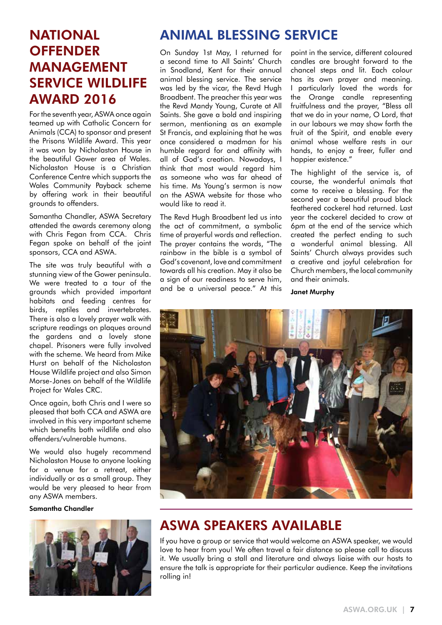# **OFFENDER** MANAGEMENT SERVICE WILDLIFE AWARD 2016

For the seventh year, ASWA once again teamed up with Catholic Concern for Animals (CCA) to sponsor and present the Prisons Wildlife Award. This year it was won by Nicholaston House in the beautiful Gower area of Wales. Nicholaston House is a Christian Conference Centre which supports the Wales Community Payback scheme by offering work in their beautiful grounds to offenders.

Samantha Chandler, ASWA Secretary attended the awards ceremony along with Chris Fegan from CCA. Chris Fegan spoke on behalf of the joint sponsors, CCA and ASWA.

The site was truly beautiful with a stunning view of the Gower peninsula. We were treated to a tour of the grounds which provided important habitats and feeding centres for birds, reptiles and invertebrates. There is also a lovely prayer walk with scripture readings on plaques around the gardens and a lovely stone chapel. Prisoners were fully involved with the scheme. We heard from Mike Hurst on behalf of the Nicholaston House Wildlife project and also Simon Morse-Jones on behalf of the Wildlife Project for Wales CRC.

Once again, both Chris and I were so pleased that both CCA and ASWA are involved in this very important scheme which benefits both wildlife and also offenders/vulnerable humans.

We would also hugely recommend Nicholaston House to anyone looking for a venue for a retreat, either individually or as a small group. They would be very pleased to hear from any ASWA members.

## Samantha Chandler



# NATIONAL ANIMAL BLESSING SERVICE

On Sunday 1st May, I returned for a second time to All Saints' Church in Snodland, Kent for their annual animal blessing service. The service was led by the vicar, the Revd Hugh Broadbent. The preacher this year was the Revd Mandy Young, Curate at All Saints. She gave a bold and inspiring sermon, mentioning as an example St Francis, and explaining that he was once considered a madman for his humble regard for and affinity with all of God's creation. Nowadays, I think that most would regard him as someone who was far ahead of his time. Ms Young's sermon is now on the ASWA website for those who would like to read it.

The Revd Hugh Broadbent led us into the act of commitment, a symbolic time of prayerful words and reflection. The prayer contains the words, "The rainbow in the bible is a symbol of God's covenant, love and commitment towards all his creation. May it also be a sign of our readiness to serve him, and be a universal peace." At this

point in the service, different coloured candles are brought forward to the chancel steps and lit. Each colour has its own prayer and meaning. I particularly loved the words for the Orange candle representing fruitfulness and the prayer, "Bless all that we do in your name, O Lord, that in our labours we may show forth the fruit of the Spirit, and enable every animal whose welfare rests in our hands, to enjoy a freer, fuller and happier existence."

The highlight of the service is, of course, the wonderful animals that come to receive a blessing. For the second year a beautiful proud black feathered cockerel had returned. Last year the cockerel decided to crow at 6pm at the end of the service which created the perfect ending to such a wonderful animal blessing. All Saints' Church always provides such a creative and joyful celebration for Church members, the local community and their animals.

Janet Murphy



## ASWA SPEAKERS AVAILABLE

If you have a group or service that would welcome an ASWA speaker, we would love to hear from you! We often travel a fair distance so please call to discuss it. We usually bring a stall and literature and always liaise with our hosts to ensure the talk is appropriate for their particular audience. Keep the invitations rolling in!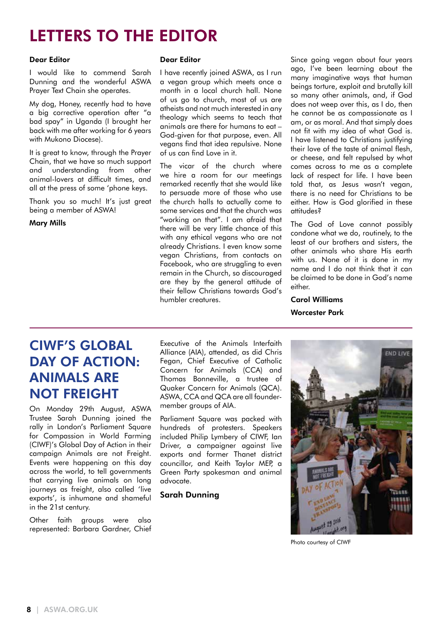# LETTERS TO THE EDITOR

### Dear Editor

I would like to commend Sarah Dunning and the wonderful ASWA Prayer Text Chain she operates.

My dog, Honey, recently had to have a big corrective operation after "a bad spay" in Uganda (I brought her back with me after working for 6 years with Mukono Diocese).

It is great to know, through the Prayer Chain, that we have so much support and understanding from other animal-lovers at difficult times, and all at the press of some 'phone keys.

Thank you so much! It's just great being a member of ASWA!

Mary Mills

#### Dear Editor

I have recently joined ASWA, as I run a vegan group which meets once a month in a local church hall. None of us go to church, most of us are atheists and not much interested in any theology which seems to teach that animals are there for humans to eat – God-given for that purpose, even. All vegans find that idea repulsive. None of us can find Love in it.

The vicar of the church where we hire a room for our meetings remarked recently that she would like to persuade more of those who use the church halls to actually come to some services and that the church was "working on that". I am afraid that there will be very little chance of this with any ethical vegans who are not already Christians. I even know some vegan Christians, from contacts on Facebook, who are struggling to even remain in the Church, so discouraged are they by the general attitude of their fellow Christians towards God's humbler creatures.

Since going vegan about four years ago, I've been learning about the many imaginative ways that human beings torture, exploit and brutally kill so many other animals, and, if God does not weep over this, as I do, then he cannot be as compassionate as I am, or as moral. And that simply does not fit with my idea of what God is. I have listened to Christians justifying their love of the taste of animal flesh, or cheese, and felt repulsed by what comes across to me as a complete lack of respect for life. I have been told that, as Jesus wasn't vegan, there is no need for Christians to be either. How is God glorified in these attitudes?

The God of Love cannot possibly condone what we do, routinely, to the least of our brothers and sisters, the other animals who share His earth with us. None of it is done in my name and I do not think that it can be claimed to be done in God's name either.

## Carol Williams Worcester Park

## CIWF'S GLOBAL DAY OF ACTION: ANIMALS ARE NOT FREIGHT

On Monday 29th August, ASWA Trustee Sarah Dunning joined the rally in London's Parliament Square for Compassion in World Farming (CIWF)'s Global Day of Action in their campaign Animals are not Freight. Events were happening on this day across the world, to tell governments that carrying live animals on long journeys as freight, also called 'live exports', is inhumane and shameful in the 21st century.

Other faith groups were also represented: Barbara Gardner, Chief

Executive of the Animals Interfaith Alliance (AIA), attended, as did Chris Fegan, Chief Executive of Catholic Concern for Animals (CCA) and Thomas Bonneville, a trustee of Quaker Concern for Animals (QCA). ASWA, CCA and QCA are all foundermember groups of AIA.

Parliament Square was packed with hundreds of protesters. Speakers included Philip Lymbery of CIWF, Ian Driver, a campaigner against live exports and former Thanet district councillor, and Keith Taylor MEP, a Green Party spokesman and animal advocate.

Sarah Dunning



Photo courtesy of CIWF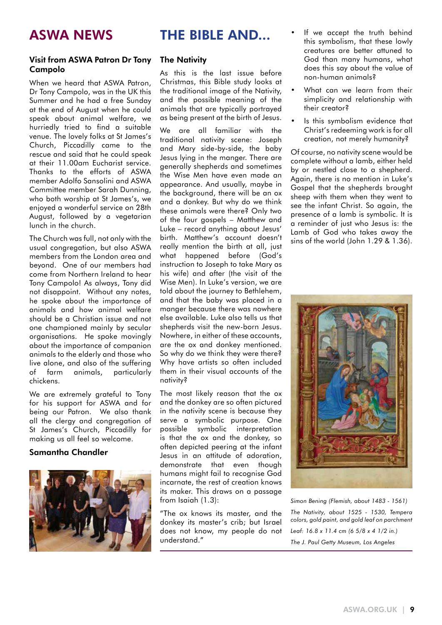## Visit from ASWA Patron Dr Tony Campolo

When we heard that ASWA Patron, Dr Tony Campolo, was in the UK this Summer and he had a free Sunday at the end of August when he could speak about animal welfare, we hurriedly tried to find a suitable venue. The lovely folks at St James's Church, Piccadilly came to the rescue and said that he could speak at their 11.00am Eucharist service. Thanks to the efforts of ASWA member Adolfo Sansolini and ASWA Committee member Sarah Dunning, who both worship at St James's, we enjoyed a wonderful service on 28th August, followed by a vegetarian lunch in the church.

The Church was full, not only with the usual congregation, but also ASWA members from the London area and beyond. One of our members had come from Northern Ireland to hear Tony Campolo! As always, Tony did not disappoint. Without any notes, he spoke about the importance of animals and how animal welfare should be a Christian issue and not one championed mainly by secular organisations. He spoke movingly about the importance of companion animals to the elderly and those who live alone, and also of the suffering of farm animals, particularly chickens.

We are extremely grateful to Tony for his support for ASWA and for being our Patron. We also thank all the clergy and congregation of St James's Church, Piccadilly for making us all feel so welcome.

### Samantha Chandler



## THE BIBLE AND...

## **The Nativity**

As this is the last issue before Christmas, this Bible study looks at the traditional image of the Nativity, and the possible meaning of the animals that are typically portrayed as being present at the birth of Jesus.

We are all familiar with the traditional nativity scene: Joseph and Mary side-by-side, the baby Jesus lying in the manger. There are generally shepherds and sometimes the Wise Men have even made an appearance. And usually, maybe in the background, there will be an ox and a donkey. But why do we think these animals were there? Only two of the four gospels – Matthew and Luke – record anything about Jesus' birth. Matthew's account doesn't really mention the birth at all, just what happened before (God's instruction to Joseph to take Mary as his wife) and after (the visit of the Wise Men). In Luke's version, we are told about the journey to Bethlehem, and that the baby was placed in a manger because there was nowhere else available. Luke also tells us that shepherds visit the new-born Jesus. Nowhere, in either of these accounts, are the ox and donkey mentioned. So why do we think they were there? Why have artists so often included them in their visual accounts of the nativity?

The most likely reason that the ox and the donkey are so often pictured in the nativity scene is because they serve a symbolic purpose. One possible symbolic interpretation is that the ox and the donkey, so often depicted peering at the infant Jesus in an attitude of adoration, demonstrate that even though humans might fail to recognise God incarnate, the rest of creation knows its maker. This draws on a passage from Isaiah (1.3):

"The ox knows its master, and the donkey its master's crib; but Israel does not know, my people do not understand."

- If we accept the truth behind this symbolism, that these lowly creatures are better attuned to God than many humans, what does this say about the value of non-human animals?
- What can we learn from their simplicity and relationship with their creator?
- Is this symbolism evidence that Christ's redeeming work is for all creation, not merely humanity?

Of course, no nativity scene would be complete without a lamb, either held by or nestled close to a shepherd. Again, there is no mention in Luke's Gospel that the shepherds brought sheep with them when they went to see the infant Christ. So again, the presence of a lamb is symbolic. It is a reminder of just who Jesus is: the Lamb of God who takes away the sins of the world (John 1.29 & 1.36).



*Simon Bening (Flemish, about 1483 - 1561)*

*The Nativity, about 1525 - 1530, Tempera colors, gold paint, and gold leaf on parchment Leaf: 16.8 x 11.4 cm (6 5/8 x 4 1/2 in.) The J. Paul Getty Museum, Los Angeles*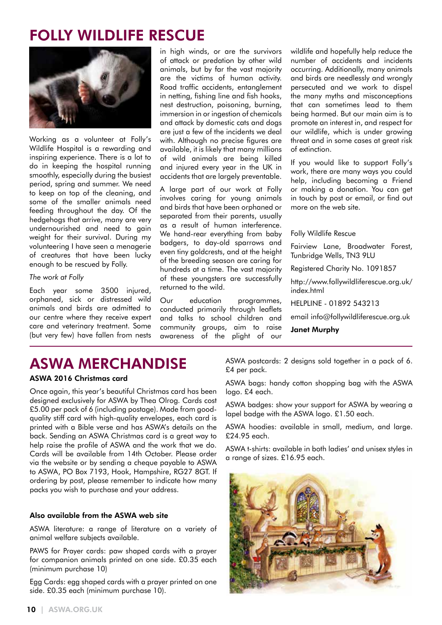# FOLLY WILDLIFE RESCUE



Working as a volunteer at Folly's Wildlife Hospital is a rewarding and inspiring experience. There is a lot to do in keeping the hospital running smoothly, especially during the busiest period, spring and summer. We need to keep on top of the cleaning, and some of the smaller animals need feeding throughout the day. Of the hedgehogs that arrive, many are very undernourished and need to gain weight for their survival. During my volunteering I have seen a menagerie of creatures that have been lucky enough to be rescued by Folly.

#### *The work at Folly*

Each year some 3500 injured, orphaned, sick or distressed wild animals and birds are admitted to our centre where they receive expert care and veterinary treatment. Some (but very few) have fallen from nests

in high winds, or are the survivors of attack or predation by other wild animals, but by far the vast majority are the victims of human activity. Road traffic accidents, entanglement in netting, fishing line and fish hooks, nest destruction, poisoning, burning, immersion in or ingestion of chemicals and attack by domestic cats and dogs are just a few of the incidents we deal with. Although no precise figures are available, it is likely that many millions of wild animals are being killed and injured every year in the UK in accidents that are largely preventable.

A large part of our work at Folly involves caring for young animals and birds that have been orphaned or separated from their parents, usually as a result of human interference. We hand-rear everything from baby badgers, to day-old sparrows and even tiny goldcrests, and at the height of the breeding season are caring for hundreds at a time. The vast majority of these youngsters are successfully returned to the wild.

Our education programmes, conducted primarily through leaflets and talks to school children and community groups, aim to raise awareness of the plight of our wildlife and hopefully help reduce the number of accidents and incidents occurring. Additionally, many animals and birds are needlessly and wrongly persecuted and we work to dispel the many myths and misconceptions that can sometimes lead to them being harmed. But our main aim is to promote an interest in, and respect for our wildlife, which is under growing threat and in some cases at great risk of extinction.

If you would like to support Folly's work, there are many ways you could help, including becoming a Friend or making a donation. You can get in touch by post or email, or find out more on the web site.

#### Folly Wildlife Rescue

Fairview Lane, Broadwater Forest, Tunbridge Wells, TN3 9LU

Registered Charity No. 1091857

http://www.follywildliferescue.org.uk/ index.html

HELPLINE - 01892 543213

email info@follywildliferescue.org.uk

Janet Murphy

# ASWA MERCHANDISE

## ASWA 2016 Christmas card

Once again, this year's beautiful Christmas card has been designed exclusively for ASWA by Thea Olrog. Cards cost £5.00 per pack of 6 (including postage). Made from goodquality stiff card with high-quality envelopes, each card is printed with a Bible verse and has ASWA's details on the back. Sending an ASWA Christmas card is a great way to help raise the profile of ASWA and the work that we do. Cards will be available from 14th October. Please order via the website or by sending a cheque payable to ASWA to ASWA, PO Box 7193, Hook, Hampshire, RG27 8GT. If ordering by post, please remember to indicate how many packs you wish to purchase and your address.

### Also available from the ASWA web site

ASWA literature: a range of literature on a variety of animal welfare subjects available.

PAWS for Prayer cards: paw shaped cards with a prayer for companion animals printed on one side. £0.35 each (minimum purchase 10)

Egg Cards: egg shaped cards with a prayer printed on one side. £0.35 each (minimum purchase 10).

ASWA postcards: 2 designs sold together in a pack of 6. £4 per pack.

ASWA bags: handy cotton shopping bag with the ASWA logo. £4 each.

ASWA badges: show your support for ASWA by wearing a lapel badge with the ASWA logo. £1.50 each.

ASWA hoodies: available in small, medium, and large. £24.95 each.

ASWA t-shirts: available in both ladies' and unisex styles in a range of sizes. £16.95 each.

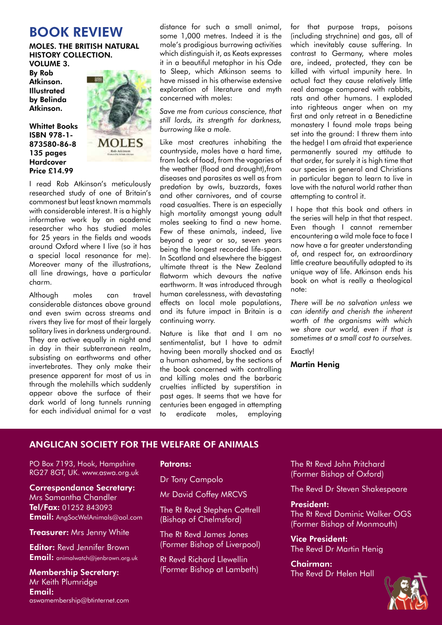## BOOK REVIEW

#### MOLES. THE BRITISH NATURAL HISTORY COLLECTION. VOLUME 3.

By Rob Atkinson. **Illustrated** by Belinda Atkinson.

Whittet Books ISBN 978-1- 873580-86-8 135 pages Hardcover Price £14.99



I read Rob Atkinson's meticulously researched study of one of Britain's commonest but least known mammals with considerable interest. It is a highly informative work by an academic researcher who has studied moles for 25 years in the fields and woods around Oxford where I live (so it has a special local resonance for me). Moreover many of the illustrations, all line drawings, have a particular charm.

Although moles can travel considerable distances above ground and even swim across streams and rivers they live for most of their largely solitary lives in darkness underground. They are active equally in night and in day in their subterranean realm, subsisting on earthworms and other invertebrates. They only make their presence apparent for most of us in through the molehills which suddenly appear above the surface of their dark world of long tunnels running for each individual animal for a vast

distance for such a small animal, some 1,000 metres. Indeed it is the mole's prodigious burrowing activities which distinguish it, as Keats expresses it in a beautiful metaphor in his Ode to Sleep, which Atkinson seems to have missed in his otherwise extensive exploration of literature and myth concerned with moles:

*Save me from curious conscience, that still lords, its strength for darkness, burrowing like a mole.*

Like most creatures inhabiting the countryside, moles have a hard time, from lack of food, from the vagaries of the weather (flood and drought),from diseases and parasites as well as from predation by owls, buzzards, foxes and other carnivores, and of course road casualties. There is an especially high mortality amongst young adult moles seeking to find a new home. Few of these animals, indeed, live beyond a year or so, seven years being the longest recorded life-span. In Scotland and elsewhere the biggest ultimate threat is the New Zealand flatworm which devours the native earthworm. It was introduced through human carelessness, with devastating effects on local mole populations, and its future impact in Britain is a continuing worry.

Nature is like that and I am no sentimentalist, but I have to admit having been morally shocked and as a human ashamed, by the sections of the book concerned with controlling and killing moles and the barbaric cruelties inflicted by superstition in past ages. It seems that we have for centuries been engaged in attempting to eradicate moles, employing

for that purpose traps, poisons (including strychnine) and gas, all of which inevitably cause suffering. In contrast to Germany, where moles are, indeed, protected, they can be killed with virtual impunity here. In actual fact they cause relatively little real damage compared with rabbits, rats and other humans. I exploded into righteous anger when on my first and only retreat in a Benedictine monastery I found mole traps being set into the ground: I threw them into the hedge! I am afraid that experience permanently soured my attitude to that order, for surely it is high time that our species in general and Christians in particular began to learn to live in love with the natural world rather than attempting to control it.

I hope that this book and others in the series will help in that that respect. Even though I cannot remember encountering a wild mole face to face I now have a far greater understanding of, and respect for, an extraordinary little creature beautifully adapted to its unique way of life. Atkinson ends his book on what is really a theological note:

*There will be no salvation unless we can identify and cherish the inherent worth of the organisms with which we share our world, even if that is sometimes at a small cost to ourselves.*

Exactly!

### Martin Henig

## ANGLICAN SOCIETY FOR THE WELFARE OF ANIMALS

PO Box 7193, Hook, Hampshire RG27 8GT, UK. www.aswa.org.uk

Correspondance Secretary:

Mrs Samantha Chandler Tel/Fax: 01252 843093 Email: AngSocWelAnimals@aol.com

**Treasurer: Mrs Jenny White** 

**Editor: Revd Jennifer Brown** Email: animalwatch@ienbrown.org.uk

## Membership Secretary: Mr Keith Plumridge Email: aswamembership@btinternet.com

### Patrons:

Dr Tony Campolo

Mr David Coffey MRCVS

The Rt Revd Stephen Cottrell (Bishop of Chelmsford)

The Rt Revd James Jones (Former Bishop of Liverpool)

Rt Revd Richard Llewellin (Former Bishop at Lambeth) The Rt Revd John Pritchard (Former Bishop of Oxford)

The Revd Dr Steven Shakespeare

### President:

The Rt Revd Dominic Walker OGS (Former Bishop of Monmouth)

Vice President: The Revd Dr Martin Henig

Chairman: The Revd Dr Helen Hall